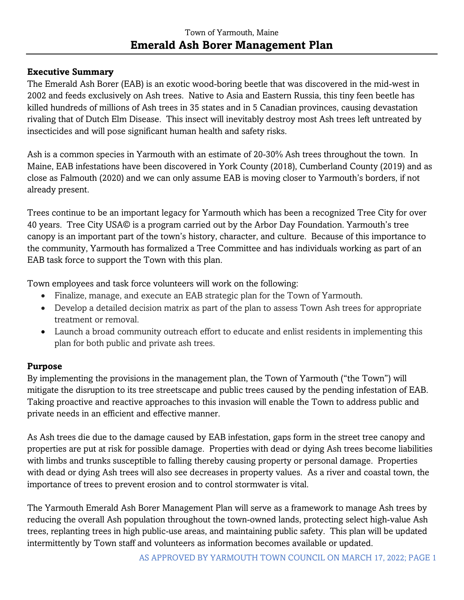#### **Executive Summary**

The Emerald Ash Borer (EAB) is an exotic wood-boring beetle that was discovered in the mid-west in 2002 and feeds exclusively on Ash trees. Native to Asia and Eastern Russia, this tiny feen beetle has killed hundreds of millions of Ash trees in 35 states and in 5 Canadian provinces, causing devastation rivaling that of Dutch Elm Disease. This insect will inevitably destroy most Ash trees left untreated by insecticides and will pose significant human health and safety risks.

Ash is a common species in Yarmouth with an estimate of 20-30% Ash trees throughout the town. In Maine, EAB infestations have been discovered in York County (2018), Cumberland County (2019) and as close as Falmouth (2020) and we can only assume EAB is moving closer to Yarmouth's borders, if not already present.

Trees continue to be an important legacy for Yarmouth which has been a recognized Tree City for over 40 years. Tree City USA© is a program carried out by the Arbor Day Foundation. Yarmouth's tree canopy is an important part of the town's history, character, and culture. Because of this importance to the community, Yarmouth has formalized a Tree Committee and has individuals working as part of an EAB task force to support the Town with this plan.

Town employees and task force volunteers will work on the following:

- Finalize, manage, and execute an EAB strategic plan for the Town of Yarmouth.
- Develop a detailed decision matrix as part of the plan to assess Town Ash trees for appropriate treatment or removal.
- Launch a broad community outreach effort to educate and enlist residents in implementing this plan for both public and private ash trees.

#### **Purpose**

By implementing the provisions in the management plan, the Town of Yarmouth ("the Town") will mitigate the disruption to its tree streetscape and public trees caused by the pending infestation of EAB. Taking proactive and reactive approaches to this invasion will enable the Town to address public and private needs in an efficient and effective manner.

As Ash trees die due to the damage caused by EAB infestation, gaps form in the street tree canopy and properties are put at risk for possible damage. Properties with dead or dying Ash trees become liabilities with limbs and trunks susceptible to falling thereby causing property or personal damage. Properties with dead or dying Ash trees will also see decreases in property values. As a river and coastal town, the importance of trees to prevent erosion and to control stormwater is vital.

The Yarmouth Emerald Ash Borer Management Plan will serve as a framework to manage Ash trees by reducing the overall Ash population throughout the town-owned lands, protecting select high-value Ash trees, replanting trees in high public-use areas, and maintaining public safety. This plan will be updated intermittently by Town staff and volunteers as information becomes available or updated.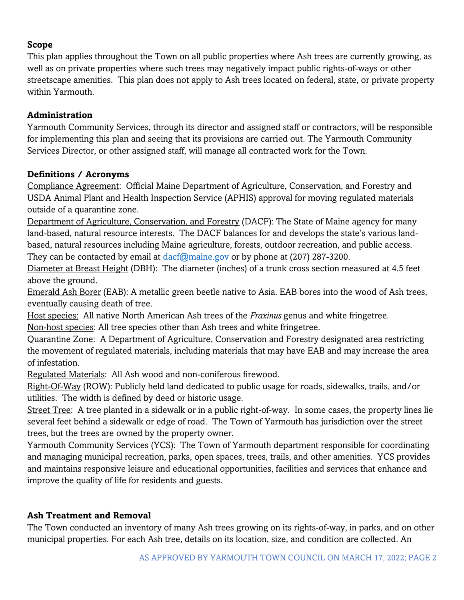#### **Scope**

This plan applies throughout the Town on all public properties where Ash trees are currently growing, as well as on private properties where such trees may negatively impact public rights-of-ways or other streetscape amenities. This plan does not apply to Ash trees located on federal, state, or private property within Yarmouth.

#### **Administration**

Yarmouth Community Services, through its director and assigned staff or contractors, will be responsible for implementing this plan and seeing that its provisions are carried out. The Yarmouth Community Services Director, or other assigned staff, will manage all contracted work for the Town.

#### **Definitions / Acronyms**

Compliance Agreement: Official Maine Department of Agriculture, Conservation, and Forestry and USDA Animal Plant and Health Inspection Service (APHIS) approval for moving regulated materials outside of a quarantine zone.

Department of Agriculture, Conservation, and Forestry (DACF): The State of Maine agency for many land-based, natural resource interests. The DACF balances for and develops the state's various landbased, natural resources including Maine agriculture, forests, outdoor recreation, and public access. They can be contacted by email at [dacf@maine.gov](mailto:dacf@maine.gov) or by phone at (207) 287-3200.

Diameter at Breast Height (DBH): The diameter (inches) of a trunk cross section measured at 4.5 feet above the ground.

Emerald Ash Borer (EAB): A metallic green beetle native to Asia. EAB bores into the wood of Ash trees, eventually causing death of tree.

Host species: All native North American Ash trees of the *Fraxinus* genus and white fringetree.

Non-host species: All tree species other than Ash trees and white fringetree.

Quarantine Zone: A Department of Agriculture, Conservation and Forestry designated area restricting the movement of regulated materials, including materials that may have EAB and may increase the area of infestation.

Regulated Materials: All Ash wood and non-coniferous firewood.

Right-Of-Way (ROW): Publicly held land dedicated to public usage for roads, sidewalks, trails, and/or utilities. The width is defined by deed or historic usage.

Street Tree: A tree planted in a sidewalk or in a public right-of-way. In some cases, the property lines lie several feet behind a sidewalk or edge of road. The Town of Yarmouth has jurisdiction over the street trees, but the trees are owned by the property owner.

Yarmouth Community Services (YCS): The Town of Yarmouth department responsible for coordinating and managing municipal recreation, parks, open spaces, trees, trails, and other amenities. YCS provides and maintains responsive leisure and educational opportunities, facilities and services that enhance and improve the quality of life for residents and guests.

#### **Ash Treatment and Removal**

The Town conducted an inventory of many Ash trees growing on its rights-of-way, in parks, and on other municipal properties. For each Ash tree, details on its location, size, and condition are collected. An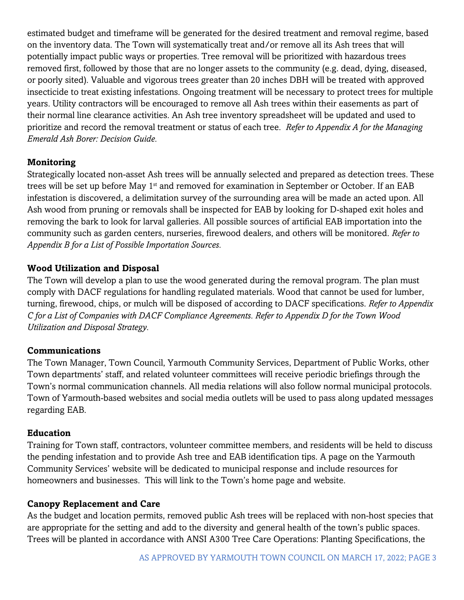estimated budget and timeframe will be generated for the desired treatment and removal regime, based on the inventory data. The Town will systematically treat and/or remove all its Ash trees that will potentially impact public ways or properties. Tree removal will be prioritized with hazardous trees removed first, followed by those that are no longer assets to the community (e.g. dead, dying, diseased, or poorly sited). Valuable and vigorous trees greater than 20 inches DBH will be treated with approved insecticide to treat existing infestations. Ongoing treatment will be necessary to protect trees for multiple years. Utility contractors will be encouraged to remove all Ash trees within their easements as part of their normal line clearance activities. An Ash tree inventory spreadsheet will be updated and used to prioritize and record the removal treatment or status of each tree. *Refer to Appendix A for the Managing Emerald Ash Borer: Decision Guide.*

#### **Monitoring**

Strategically located non-asset Ash trees will be annually selected and prepared as detection trees. These trees will be set up before May 1<sup>st</sup> and removed for examination in September or October. If an EAB infestation is discovered, a delimitation survey of the surrounding area will be made an acted upon. All Ash wood from pruning or removals shall be inspected for EAB by looking for D-shaped exit holes and removing the bark to look for larval galleries. All possible sources of artificial EAB importation into the community such as garden centers, nurseries, firewood dealers, and others will be monitored. *Refer to Appendix B for a List of Possible Importation Sources.*

#### **Wood Utilization and Disposal**

The Town will develop a plan to use the wood generated during the removal program. The plan must comply with DACF regulations for handling regulated materials. Wood that cannot be used for lumber, turning, firewood, chips, or mulch will be disposed of according to DACF specifications. *Refer to Appendix C for a List of Companies with DACF Compliance Agreements. Refer to Appendix D for the Town Wood Utilization and Disposal Strategy.*

#### **Communications**

The Town Manager, Town Council, Yarmouth Community Services, Department of Public Works, other Town departments' staff, and related volunteer committees will receive periodic briefings through the Town's normal communication channels. All media relations will also follow normal municipal protocols. Town of Yarmouth-based websites and social media outlets will be used to pass along updated messages regarding EAB.

#### **Education**

Training for Town staff, contractors, volunteer committee members, and residents will be held to discuss the pending infestation and to provide Ash tree and EAB identification tips. A page on the Yarmouth Community Services' website will be dedicated to municipal response and include resources for homeowners and businesses. This will link to the Town's home page and website.

#### **Canopy Replacement and Care**

As the budget and location permits, removed public Ash trees will be replaced with non-host species that are appropriate for the setting and add to the diversity and general health of the town's public spaces. Trees will be planted in accordance with ANSI A300 Tree Care Operations: Planting Specifications, the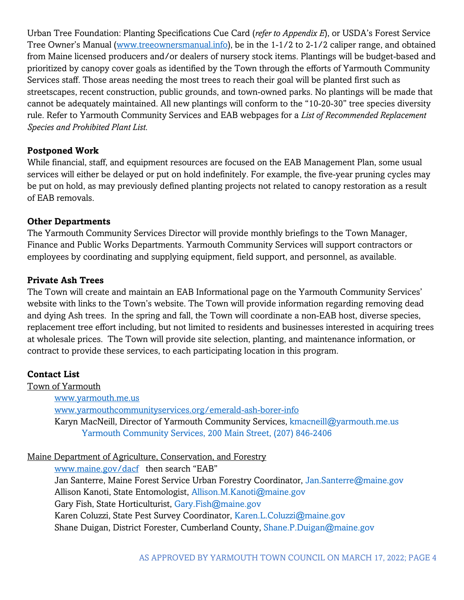Urban Tree Foundation: Planting Specifications Cue Card (*refer to Appendix E*), or USDA's Forest Service Tree Owner's Manual ([www.treeownersmanual.info\)](http://www.treeownersmanual.info/), be in the 1-1/2 to 2-1/2 caliper range, and obtained from Maine licensed producers and/or dealers of nursery stock items. Plantings will be budget-based and prioritized by canopy cover goals as identified by the Town through the efforts of Yarmouth Community Services staff. Those areas needing the most trees to reach their goal will be planted first such as streetscapes, recent construction, public grounds, and town-owned parks. No plantings will be made that cannot be adequately maintained. All new plantings will conform to the "10-20-30" tree species diversity rule. Refer to Yarmouth Community Services and EAB webpages for a *List of Recommended Replacement Species and Prohibited Plant List*.

#### **Postponed Work**

While financial, staff, and equipment resources are focused on the EAB Management Plan, some usual services will either be delayed or put on hold indefinitely. For example, the five-year pruning cycles may be put on hold, as may previously defined planting projects not related to canopy restoration as a result of EAB removals.

#### **Other Departments**

The Yarmouth Community Services Director will provide monthly briefings to the Town Manager, Finance and Public Works Departments. Yarmouth Community Services will support contractors or employees by coordinating and supplying equipment, field support, and personnel, as available.

#### **Private Ash Trees**

The Town will create and maintain an EAB Informational page on the Yarmouth Community Services' website with links to the Town's website. The Town will provide information regarding removing dead and dying Ash trees. In the spring and fall, the Town will coordinate a non-EAB host, diverse species, replacement tree effort including, but not limited to residents and businesses interested in acquiring trees at wholesale prices. The Town will provide site selection, planting, and maintenance information, or contract to provide these services, to each participating location in this program.

#### **Contact List**

Town of Yarmouth [www.yarmouth.me.us](http://www.yarmouth.me.us/) [www.yarmouthcommunityservices.org/emerald-ash-borer-info](http://www.yarmouthcommunityservices.org/emerald-ash-borer-info) Karyn MacNeill, Director of Yarmouth Community Services, [kmacneill@yarmouth.me.us](mailto:kmacneill@yarmouth.me.us) Yarmouth Community Services, 200 Main Street, (207) 846-2406

#### Maine Department of Agriculture, Conservation, and Forestry

[www.maine.gov/dacf](http://www.maine.gov/dacf) then search "EAB" Jan Santerre, Maine Forest Service Urban Forestry Coordinator, [Jan.Santerre@maine.gov](mailto:Jan.Santerre@maine.gov) Allison Kanoti, State Entomologist, [Allison.M.Kanoti@maine.gov](mailto:Allison.M.Kanoti@maine.gov) Gary Fish, State Horticulturist, [Gary.Fish@maine.gov](mailto:Gary.Fish@maine.gove) Karen Coluzzi, State Pest Survey Coordinator, [Karen.L.Coluzzi@maine.gov](mailto:Karen.L.Coluzzi@maine.gov) Shane Duigan, District Forester, Cumberland County, [Shane.P.Duigan@maine.gov](mailto:Shane.P.Duigan@maine.gove)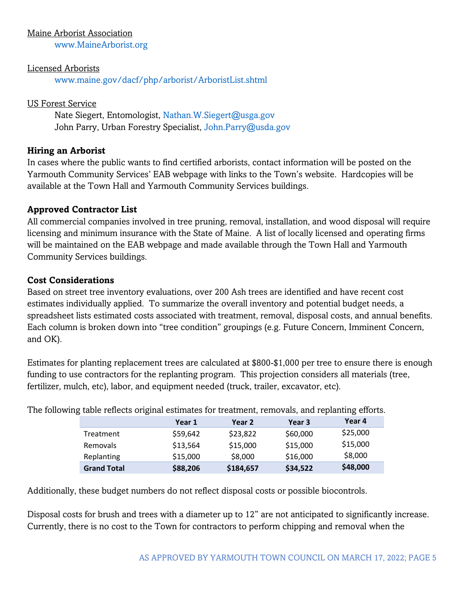#### Maine Arborist Association

[www.MaineArborist.org](http://www.mainearborist.org/)

#### Licensed Arborists

[www.maine.gov/dacf/php/arborist/ArboristList.shtml](http://www.maine.gov/dacf/php/arborist/ArboristList.shtml)

#### US Forest Service

Nate Siegert, Entomologist, [Nathan.W.Siegert@usga.gov](mailto:Nathan.W.Siegert@usga.gov) John Parry, Urban Forestry Specialist, [John.Parry@usda.gov](mailto:John.Parry@usda.gov)

#### **Hiring an Arborist**

In cases where the public wants to find certified arborists, contact information will be posted on the Yarmouth Community Services' EAB webpage with links to the Town's website. Hardcopies will be available at the Town Hall and Yarmouth Community Services buildings.

#### **Approved Contractor List**

All commercial companies involved in tree pruning, removal, installation, and wood disposal will require licensing and minimum insurance with the State of Maine. A list of locally licensed and operating firms will be maintained on the EAB webpage and made available through the Town Hall and Yarmouth Community Services buildings.

#### **Cost Considerations**

Based on street tree inventory evaluations, over 200 Ash trees are identified and have recent cost estimates individually applied. To summarize the overall inventory and potential budget needs, a spreadsheet lists estimated costs associated with treatment, removal, disposal costs, and annual benefits. Each column is broken down into "tree condition" groupings (e.g. Future Concern, Imminent Concern, and OK).

Estimates for planting replacement trees are calculated at \$800-\$1,000 per tree to ensure there is enough funding to use contractors for the replanting program. This projection considers all materials (tree, fertilizer, mulch, etc), labor, and equipment needed (truck, trailer, excavator, etc).

|                    | ig and relieved onglinal commatted for treatment, relievably and replanting enorgy |           |          |          |
|--------------------|------------------------------------------------------------------------------------|-----------|----------|----------|
|                    | Year 1                                                                             | Year 2    | Year 3   | Year 4   |
| Treatment          | \$59,642                                                                           | \$23,822  | \$60,000 | \$25,000 |
| Removals           | \$13,564                                                                           | \$15,000  | \$15,000 | \$15,000 |
| Replanting         | \$15,000                                                                           | \$8,000   | \$16,000 | \$8,000  |
| <b>Grand Total</b> | \$88,206                                                                           | \$184,657 | \$34,522 | \$48,000 |

The following table reflects original estimates for treatment, removals, and replanting efforts.

Additionally, these budget numbers do not reflect disposal costs or possible biocontrols.

Disposal costs for brush and trees with a diameter up to 12" are not anticipated to significantly increase. Currently, there is no cost to the Town for contractors to perform chipping and removal when the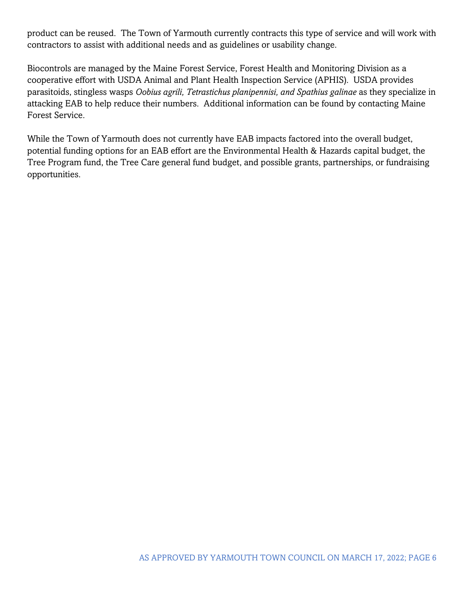product can be reused. The Town of Yarmouth currently contracts this type of service and will work with contractors to assist with additional needs and as guidelines or usability change.

Biocontrols are managed by the Maine Forest Service, Forest Health and Monitoring Division as a cooperative effort with USDA Animal and Plant Health Inspection Service (APHIS). USDA provides parasitoids, stingless wasps *Oobius agrili, Tetrastichus planipennisi, and Spathius galinae* as they specialize in attacking EAB to help reduce their numbers. Additional information can be found by contacting Maine Forest Service.

While the Town of Yarmouth does not currently have EAB impacts factored into the overall budget, potential funding options for an EAB effort are the Environmental Health & Hazards capital budget, the Tree Program fund, the Tree Care general fund budget, and possible grants, partnerships, or fundraising opportunities.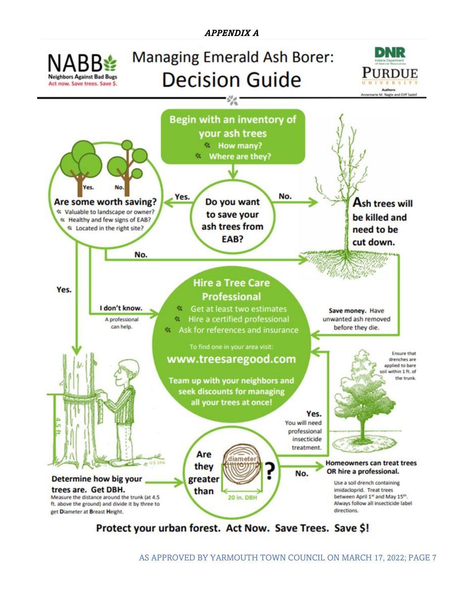

Protect your urban forest. Act Now. Save Trees. Save \$!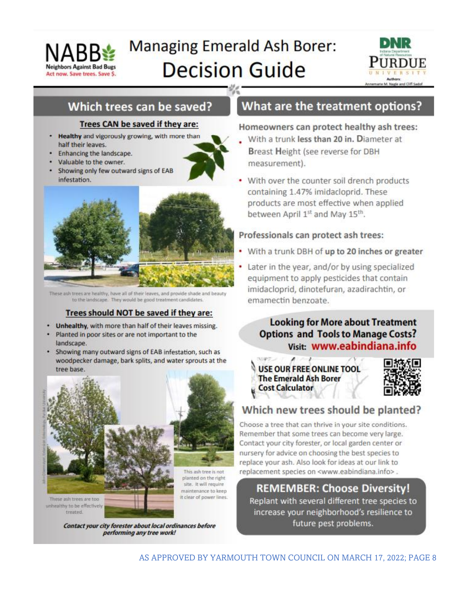

# **Managing Emerald Ash Borer: Decision Guide**



## Which trees can be saved?

#### Trees CAN be saved if they are:

- Healthy and vigorously growing, with more than half their leaves.
- Enhancing the landscape.
- Valuable to the owner.
- Showing only few outward signs of EAB infestation.



These ash trees are healthy, have all of their leaves, and provide shade and beauty to the landscape. They would be good treatment candidates.

#### Trees should NOT be saved if they are:

- Unhealthy, with more than half of their leaves missing.
- Planted in poor sites or are not important to the landscape.
- Showing many outward signs of EAB infestation, such as woodpecker damage, bark splits, and water sprouts at the tree base.



Contact your city forester about local ordinances before performing any tree work!

treated

## What are the treatment options?

#### Homeowners can protect healthy ash trees:

- With a trunk less than 20 in. Diameter at Breast Height (see reverse for DBH measurement).
- With over the counter soil drench products containing 1.47% imidacloprid. These products are most effective when applied between April 1st and May 15th.

#### Professionals can protect ash trees:

- With a trunk DBH of up to 20 inches or greater
- Later in the year, and/or by using specialized equipment to apply pesticides that contain imidacloprid, dinotefuran, azadirachtin, or emamectin benzoate.

### **Looking for More about Treatment Options and Tools to Manage Costs?** Visit: www.eabindiana.info

**USE OUR FREE ONLINE TOOL The Emerald Ash Borer Cost Calculator** 



## Which new trees should be planted?

Choose a tree that can thrive in your site conditions. Remember that some trees can become very large. Contact your city forester, or local garden center or nursery for advice on choosing the best species to replace your ash. Also look for ideas at our link to replacement species on <www.eabindiana.info>.

**REMEMBER: Choose Diversity!** Replant with several different tree species to increase your neighborhood's resilience to future pest problems.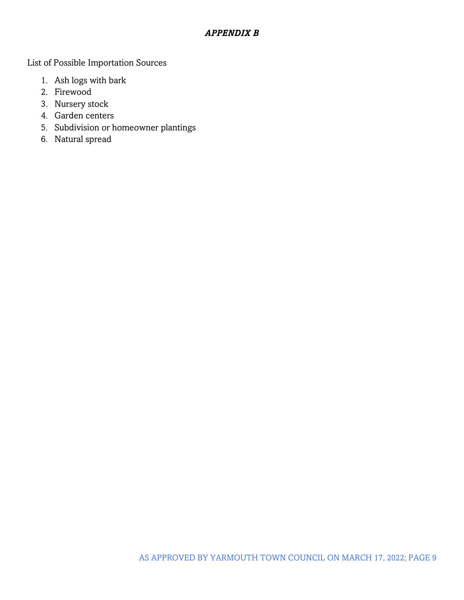#### *APPENDIX B*

List of Possible Importation Sources

- 1. Ash logs with bark
- 2. Firewood
- 3. Nursery stock
- 4. Garden centers
- 5. Subdivision or homeowner plantings
- 6. Natural spread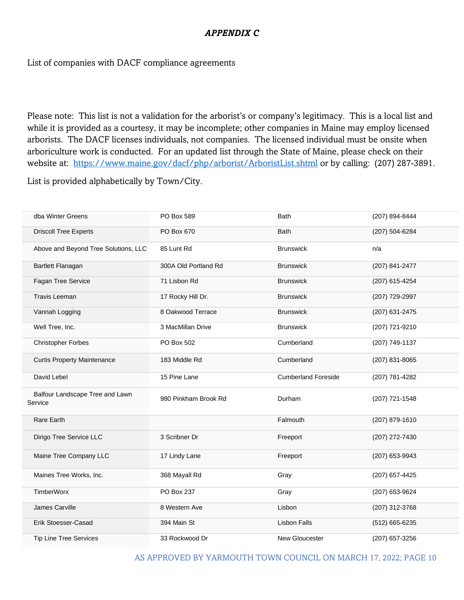#### *APPENDIX C*

#### List of companies with DACF compliance agreements

Please note: This list is not a validation for the arborist's or company's legitimacy. This is a local list and while it is provided as a courtesy, it may be incomplete; other companies in Maine may employ licensed arborists. The DACF licenses individuals, not companies. The licensed individual must be onsite when arboriculture work is conducted. For an updated list through the State of Maine, please check on their website at: <https://www.maine.gov/dacf/php/arborist/ArboristList.shtml> or by calling: (207) 287-3891.

List is provided alphabetically by Town/City.

| dba Winter Greens                          | PO Box 589           | <b>Bath</b>                | (207) 894-8444 |
|--------------------------------------------|----------------------|----------------------------|----------------|
| <b>Driscoll Tree Experts</b>               | PO Box 670           | <b>Bath</b>                | (207) 504-6284 |
| Above and Beyond Tree Solutions, LLC       | 85 Lunt Rd           | <b>Brunswick</b>           | n/a            |
| Bartlett Flanagan                          | 300A Old Portland Rd | <b>Brunswick</b>           | (207) 841-2477 |
| Fagan Tree Service                         | 71 Lisbon Rd         | <b>Brunswick</b>           | (207) 615-4254 |
| <b>Travis Leeman</b>                       | 17 Rocky Hill Dr.    | <b>Brunswick</b>           | (207) 729-2997 |
| Vannah Logging                             | 8 Oakwood Terrace    | <b>Brunswick</b>           | (207) 631-2475 |
| Well Tree, Inc.                            | 3 MacMillan Drive    | <b>Brunswick</b>           | (207) 721-9210 |
| <b>Christopher Forbes</b>                  | PO Box 502           | Cumberland                 | (207) 749-1137 |
| <b>Curtis Property Maintenance</b>         | 183 Middle Rd        | Cumberland                 | (207) 831-8065 |
| David Lebel                                | 15 Pine Lane         | <b>Cumberland Foreside</b> | (207) 781-4282 |
| Balfour Landscape Tree and Lawn<br>Service | 980 Pinkham Brook Rd | Durham                     | (207) 721-1548 |
| Rare Earth                                 |                      | Falmouth                   | (207) 879-1610 |
| Dirigo Tree Service LLC                    | 3 Scribner Dr        | Freeport                   | (207) 272-7430 |
| Maine Tree Company LLC                     | 17 Lindy Lane        | Freeport                   | (207) 653-9943 |
| Maines Tree Works, Inc.                    | 368 Mayall Rd        | Gray                       | (207) 657-4425 |
| <b>TimberWorx</b>                          | PO Box 237           | Gray                       | (207) 653-9624 |
| James Carville                             | 8 Western Ave        | Lisbon                     | (207) 312-3768 |
| <b>Erik Stoesser-Casad</b>                 | 394 Main St          | <b>Lisbon Falls</b>        | (512) 665-6235 |
| <b>Tip Line Tree Services</b>              | 33 Rockwood Dr       | New Gloucester             | (207) 657-3256 |

AS APPROVED BY YARMOUTH TOWN COUNCIL ON MARCH 17, 2022; PAGE 10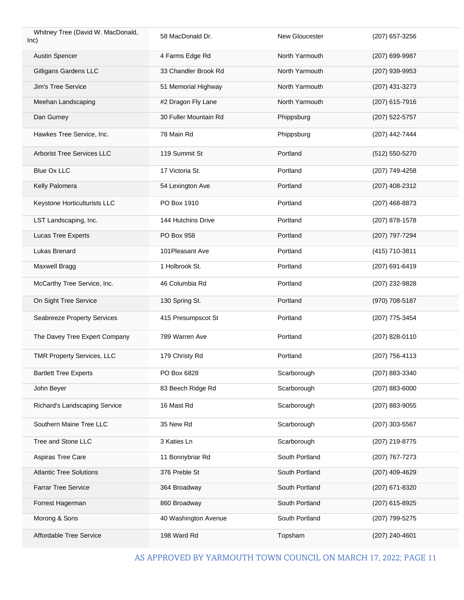| Whitney Tree (David W. MacDonald,<br>$ nc\rangle$ | 58 MacDonald Dr.      | New Gloucester | (207) 657-3256 |
|---------------------------------------------------|-----------------------|----------------|----------------|
| <b>Austin Spencer</b>                             | 4 Farms Edge Rd       | North Yarmouth | (207) 699-9987 |
| Gilligans Gardens LLC                             | 33 Chandler Brook Rd  | North Yarmouth | (207) 939-9953 |
| Jim's Tree Service                                | 51 Memorial Highway   | North Yarmouth | (207) 431-3273 |
| Meehan Landscaping                                | #2 Dragon Fly Lane    | North Yarmouth | (207) 615-7916 |
| Dan Gurney                                        | 30 Fuller Mountain Rd | Phippsburg     | (207) 522-5757 |
| Hawkes Tree Service, Inc.                         | 78 Main Rd            | Phippsburg     | (207) 442-7444 |
| Arborist Tree Services LLC                        | 119 Summit St         | Portland       | (512) 550-5270 |
| Blue Ox LLC                                       | 17 Victoria St.       | Portland       | (207) 749-4258 |
| Kelly Palomera                                    | 54 Lexington Ave      | Portland       | (207) 408-2312 |
| Keystone Horticulturists LLC                      | PO Box 1910           | Portland       | (207) 468-8873 |
| LST Landscaping, Inc.                             | 144 Hutchins Drive    | Portland       | (207) 878-1578 |
| Lucas Tree Experts                                | PO Box 958            | Portland       | (207) 797-7294 |
| Lukas Brenard                                     | 101Pleasant Ave       | Portland       | (415) 710-3811 |
| Maxwell Bragg                                     | 1 Holbrook St.        | Portland       | (207) 691-6419 |
| McCarthy Tree Service, Inc.                       | 46 Columbia Rd        | Portland       | (207) 232-9828 |
| On Sight Tree Service                             | 130 Spring St.        | Portland       | (970) 708-5187 |
| Seabreeze Property Services                       | 415 Presumpscot St    | Portland       | (207) 775-3454 |
| The Davey Tree Expert Company                     | 789 Warren Ave        | Portland       | (207) 828-0110 |
| <b>TMR Property Services, LLC</b>                 | 179 Christy Rd        | Portland       | (207) 756-4113 |
| <b>Bartlett Tree Experts</b>                      | PO Box 6828           | Scarborough    | (207) 883-3340 |
| John Beyer                                        | 83 Beech Ridge Rd     | Scarborough    | (207) 883-6000 |
| Richard's Landscaping Service                     | 16 Mast Rd            | Scarborough    | (207) 883-9055 |
| Southern Maine Tree LLC                           | 35 New Rd             | Scarborough    | (207) 303-5567 |
| Tree and Stone LLC                                | 3 Katies Ln           | Scarborough    | (207) 219-8775 |
| Aspiras Tree Care                                 | 11 Bonnybriar Rd      | South Portland | (207) 767-7273 |
| <b>Atlantic Tree Solutions</b>                    | 376 Preble St         | South Portland | (207) 409-4629 |
| <b>Farrar Tree Service</b>                        | 364 Broadway          | South Portland | (207) 671-8320 |
| Forrest Hagerman                                  | 860 Broadway          | South Portland | (207) 615-8925 |
| Morong & Sons                                     | 40 Washington Avenue  | South Portland | (207) 799-5275 |
| Affordable Tree Service                           | 198 Ward Rd           | Topsham        | (207) 240-4601 |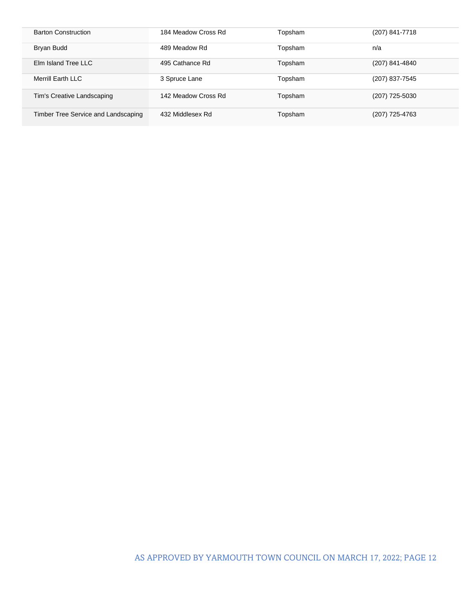| <b>Barton Construction</b>          | 184 Meadow Cross Rd | Topsham | (207) 841-7718 |
|-------------------------------------|---------------------|---------|----------------|
| Bryan Budd                          | 489 Meadow Rd       | Topsham | n/a            |
| Elm Island Tree LLC                 | 495 Cathance Rd     | Topsham | (207) 841-4840 |
| Merrill Earth LLC                   | 3 Spruce Lane       | Topsham | (207) 837-7545 |
| Tim's Creative Landscaping          | 142 Meadow Cross Rd | Topsham | (207) 725-5030 |
| Timber Tree Service and Landscaping | 432 Middlesex Rd    | Topsham | (207) 725-4763 |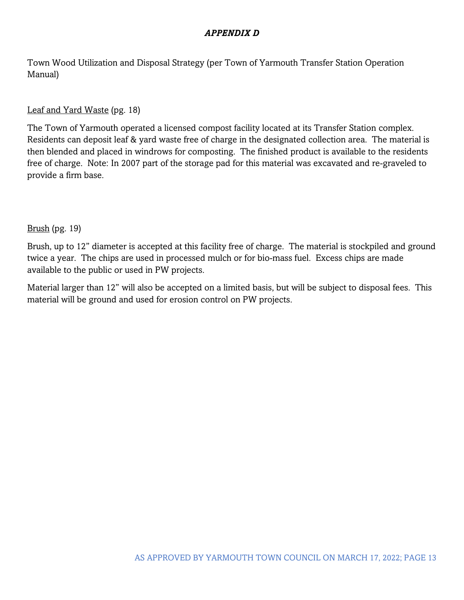#### *APPENDIX D*

Town Wood Utilization and Disposal Strategy (per Town of Yarmouth Transfer Station Operation Manual)

#### Leaf and Yard Waste (pg. 18)

The Town of Yarmouth operated a licensed compost facility located at its Transfer Station complex. Residents can deposit leaf & yard waste free of charge in the designated collection area. The material is then blended and placed in windrows for composting. The finished product is available to the residents free of charge. Note: In 2007 part of the storage pad for this material was excavated and re-graveled to provide a firm base.

#### Brush (pg. 19)

Brush, up to 12" diameter is accepted at this facility free of charge. The material is stockpiled and ground twice a year. The chips are used in processed mulch or for bio-mass fuel. Excess chips are made available to the public or used in PW projects.

Material larger than 12" will also be accepted on a limited basis, but will be subject to disposal fees. This material will be ground and used for erosion control on PW projects.